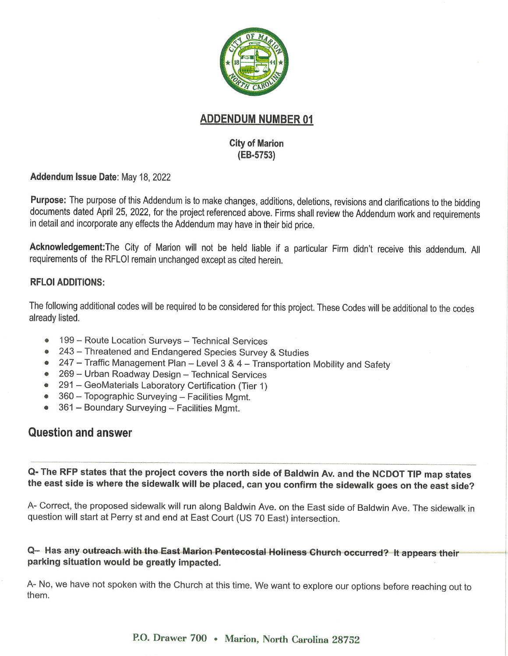

### **ADDENDUM NUMBER 01**

#### **City of Marion** (EB-5753)

Addendum Issue Date: May 18, 2022

Purpose: The purpose of this Addendum is to make changes, additions, deletions, revisions and clarifications to the bidding documents dated April 25, 2022, for the project referenced above. Firms shall review the Addendum work and requirements in detail and incorporate any effects the Addendum may have in their bid price.

Acknowledgement: The City of Marion will not be held liable if a particular Firm didn't receive this addendum. All requirements of the RFLOI remain unchanged except as cited herein.

#### **RFLOI ADDITIONS:**

The following additional codes will be required to be considered for this project. These Codes will be additional to the codes already listed.

- 199 Route Location Surveys Technical Services  $^{\circ}$
- 243 Threatened and Endangered Species Survey & Studies  $\bullet$
- 247 Traffic Management Plan Level 3 & 4 Transportation Mobility and Safety
- 269 Urban Roadway Design Technical Services
- 291 GeoMaterials Laboratory Certification (Tier 1)
- 360 Topographic Surveying Facilities Mgmt.
- 361 Boundary Surveying Facilities Mgmt.

### **Question and answer**

Q- The RFP states that the project covers the north side of Baldwin Av. and the NCDOT TIP map states the east side is where the sidewalk will be placed, can you confirm the sidewalk goes on the east side?

A- Correct, the proposed sidewalk will run along Baldwin Ave. on the East side of Baldwin Ave. The sidewalk in question will start at Perry st and end at East Court (US 70 East) intersection.

### Q- Has any outreach with the East Marion Pentecostal Holiness Church occurred? It appears their parking situation would be greatly impacted.

A- No, we have not spoken with the Church at this time. We want to explore our options before reaching out to them.

P.O. Drawer 700 • Marion, North Carolina 28752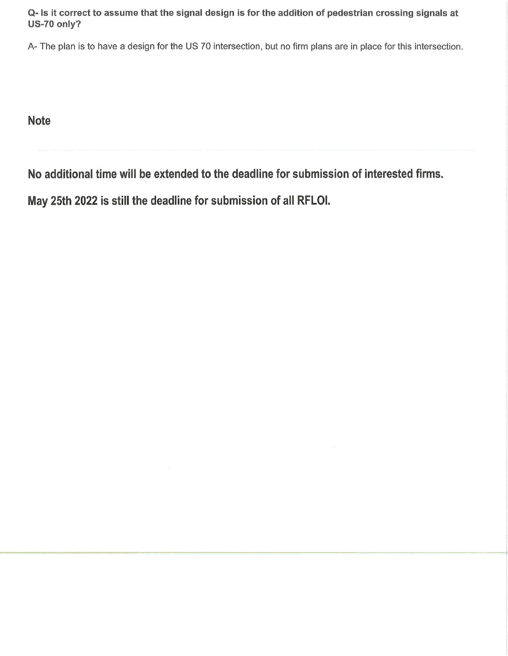Q- Is it correct to assume that the signal design is for the addition of pedestrian crossing signals at US-70 only?

A- The plan is to have a design for the US 70 intersection, but no firm plans are in place for this intersection.

**Note** 

No additional time will be extended to the deadline for submission of interested firms.

May 25th 2022 is still the deadline for submission of all RFLOI.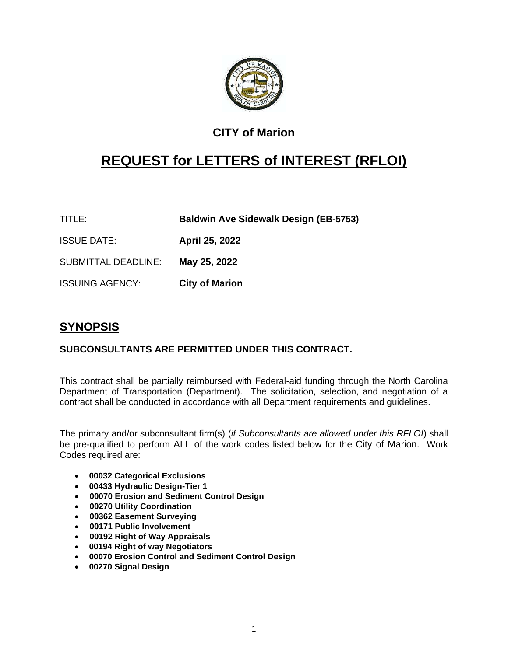

# **CITY of Marion**

# **REQUEST for LETTERS of INTEREST (RFLOI)**

TITLE: **Baldwin Ave Sidewalk Design (EB-5753)**

ISSUE DATE: **April 25, 2022**

SUBMITTAL DEADLINE: **May 25, 2022**

ISSUING AGENCY: **City of Marion**

# **SYNOPSIS**

#### **SUBCONSULTANTS ARE PERMITTED UNDER THIS CONTRACT.**

This contract shall be partially reimbursed with Federal-aid funding through the North Carolina Department of Transportation (Department). The solicitation, selection, and negotiation of a contract shall be conducted in accordance with all Department requirements and guidelines.

The primary and/or subconsultant firm(s) (*if Subconsultants are allowed under this RFLOI*) shall be pre-qualified to perform ALL of the work codes listed below for the City of Marion. Work Codes required are:

- **00032 Categorical Exclusions**
- • **00433 Hydraulic Design-Tier 1**
- **00070 Erosion and Sediment Control Design**
- **00270 Utility Coordination**
- **00362 Easement Surveying**
- **00171 Public Involvement**
- **00192 Right of Way Appraisals**
- • **00194 Right of way Negotiators**
- • **00070 Erosion Control and Sediment Control Design**
- • **00270 Signal Design**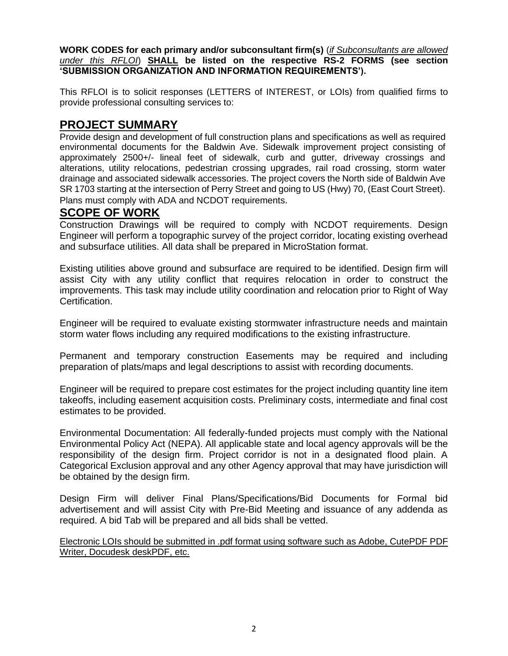**WORK CODES for each primary and/or subconsultant firm(s)** (*if Subconsultants are allowed under this RFLOI*) **SHALL be listed on the respective RS-2 FORMS (see section 'SUBMISSION ORGANIZATION AND INFORMATION REQUIREMENTS').**

This RFLOI is to solicit responses (LETTERS of INTEREST, or LOIs) from qualified firms to provide professional consulting services to:

### **PROJECT SUMMARY**

Provide design and development of full construction plans and specifications as well as required environmental documents for the Baldwin Ave. Sidewalk improvement project consisting of approximately 2500+/- lineal feet of sidewalk, curb and gutter, driveway crossings and alterations, utility relocations, pedestrian crossing upgrades, rail road crossing, storm water drainage and associated sidewalk accessories. The project covers the North side of Baldwin Ave SR 1703 starting at the intersection of Perry Street and going to US (Hwy) 70, (East Court Street). Plans must comply with ADA and NCDOT requirements.

### **SCOPE OF WORK**

Construction Drawings will be required to comply with NCDOT requirements. Design Engineer will perform a topographic survey of the project corridor, locating existing overhead and subsurface utilities. All data shall be prepared in MicroStation format.

Existing utilities above ground and subsurface are required to be identified. Design firm will assist City with any utility conflict that requires relocation in order to construct the improvements. This task may include utility coordination and relocation prior to Right of Way Certification.

Engineer will be required to evaluate existing stormwater infrastructure needs and maintain storm water flows including any required modifications to the existing infrastructure.

Permanent and temporary construction Easements may be required and including preparation of plats/maps and legal descriptions to assist with recording documents.

Engineer will be required to prepare cost estimates for the project including quantity line item takeoffs, including easement acquisition costs. Preliminary costs, intermediate and final cost estimates to be provided.

Environmental Documentation: All federally-funded projects must comply with the National Environmental Policy Act (NEPA). All applicable state and local agency approvals will be the responsibility of the design firm. Project corridor is not in a designated flood plain. A Categorical Exclusion approval and any other Agency approval that may have jurisdiction will be obtained by the design firm.

Design Firm will deliver Final Plans/Specifications/Bid Documents for Formal bid advertisement and will assist City with Pre-Bid Meeting and issuance of any addenda as required. A bid Tab will be prepared and all bids shall be vetted.

Electronic LOIs should be submitted in .pdf format using software such as Adobe, CutePDF PDF Writer, Docudesk deskPDF, etc.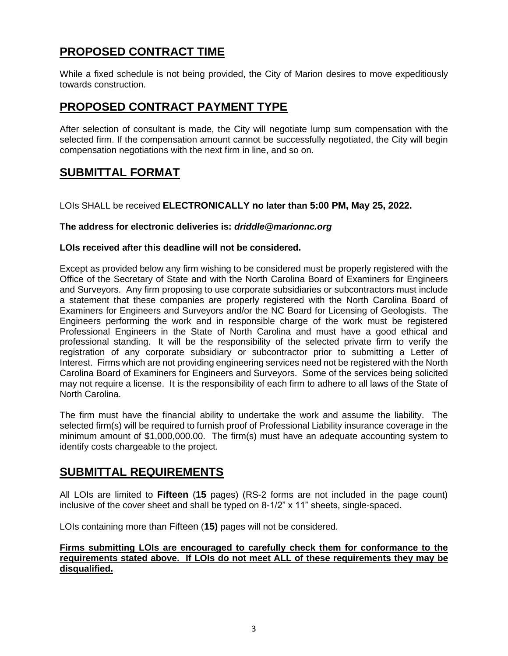# **PROPOSED CONTRACT TIME**

While a fixed schedule is not being provided, the City of Marion desires to move expeditiously towards construction.

### **PROPOSED CONTRACT PAYMENT TYPE**

After selection of consultant is made, the City will negotiate lump sum compensation with the selected firm. If the compensation amount cannot be successfully negotiated, the City will begin compensation negotiations with the next firm in line, and so on.

### **SUBMITTAL FORMAT**

LOIs SHALL be received **ELECTRONICALLY no later than 5:00 PM, May 25, 2022.**

#### **The address for electronic deliveries is:** *driddle@marionnc.org*

#### **LOIs received after this deadline will not be considered.**

Except as provided below any firm wishing to be considered must be properly registered with the Office of the Secretary of State and with the North Carolina Board of Examiners for Engineers and Surveyors. Any firm proposing to use corporate subsidiaries or subcontractors must include a statement that these companies are properly registered with the North Carolina Board of Examiners for Engineers and Surveyors and/or the NC Board for Licensing of Geologists. The Engineers performing the work and in responsible charge of the work must be registered Professional Engineers in the State of North Carolina and must have a good ethical and professional standing. It will be the responsibility of the selected private firm to verify the registration of any corporate subsidiary or subcontractor prior to submitting a Letter of Interest. Firms which are not providing engineering services need not be registered with the North Carolina Board of Examiners for Engineers and Surveyors. Some of the services being solicited may not require a license. It is the responsibility of each firm to adhere to all laws of the State of North Carolina.

The firm must have the financial ability to undertake the work and assume the liability. The selected firm(s) will be required to furnish proof of Professional Liability insurance coverage in the minimum amount of \$1,000,000.00. The firm(s) must have an adequate accounting system to identify costs chargeable to the project.

### **SUBMITTAL REQUIREMENTS**

All LOIs are limited to **Fifteen** (**15** pages) (RS-2 forms are not included in the page count) inclusive of the cover sheet and shall be typed on 8-1/2" x 11" sheets, single-spaced.

LOIs containing more than Fifteen (**15)** pages will not be considered.

#### **Firms submitting LOIs are encouraged to carefully check them for conformance to the requirements stated above. If LOIs do not meet ALL of these requirements they may be disqualified.**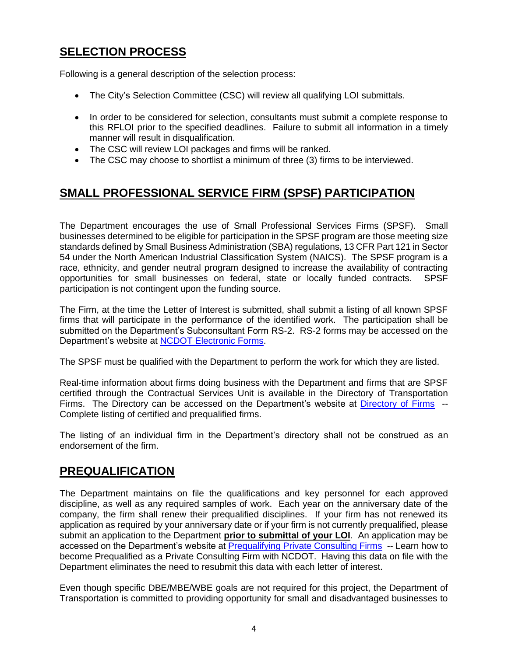# **SELECTION PROCESS**

Following is a general description of the selection process:

- The City's Selection Committee (CSC) will review all qualifying LOI submittals.
- In order to be considered for selection, consultants must submit a complete response to this RFLOI prior to the specified deadlines. Failure to submit all information in a timely manner will result in disqualification.
- The CSC will review LOI packages and firms will be ranked.
- The CSC may choose to shortlist a minimum of three (3) firms to be interviewed.

# **SMALL PROFESSIONAL SERVICE FIRM (SPSF) PARTICIPATION**

The Department encourages the use of Small Professional Services Firms (SPSF). Small businesses determined to be eligible for participation in the SPSF program are those meeting size standards defined by Small Business Administration (SBA) regulations, 13 CFR Part 121 in Sector 54 under the North American Industrial Classification System (NAICS). The SPSF program is a race, ethnicity, and gender neutral program designed to increase the availability of contracting opportunities for small businesses on federal, state or locally funded contracts. SPSF participation is not contingent upon the funding source.

The Firm, at the time the Letter of Interest is submitted, shall submit a listing of all known SPSF firms that will participate in the performance of the identified work. The participation shall be submitted on the Department's Subconsultant Form RS-2. RS-2 forms may be accessed on the Department's website at [NCDOT Electronic Forms.](https://apps.dot.state.nc.us/quickfind/forms/Default.aspx)

The SPSF must be qualified with the Department to perform the work for which they are listed.

Real-time information about firms doing business with the Department and firms that are SPSF certified through the Contractual Services Unit is available in the Directory of Transportation Firms. The Directory can be accessed on the Department's website at [Directory of Firms](https://apps.dot.state.nc.us/vendor/directory/) -- Complete listing of certified and prequalified firms.

The listing of an individual firm in the Department's directory shall not be construed as an endorsement of the firm.

### **PREQUALIFICATION**

The Department maintains on file the qualifications and key personnel for each approved discipline, as well as any required samples of work. Each year on the anniversary date of the company, the firm shall renew their prequalified disciplines. If your firm has not renewed its application as required by your anniversary date or if your firm is not currently prequalified, please submit an application to the Department **prior to submittal of your LOI**. An application may be accessed on the Department's website at [Prequalifying Private Consulting Firms](https://connect.ncdot.gov/business/Prequal/Pages/Private-Consulting-Firm.aspx) -- Learn how to become Prequalified as a Private Consulting Firm with NCDOT. Having this data on file with the Department eliminates the need to resubmit this data with each letter of interest.

Even though specific DBE/MBE/WBE goals are not required for this project, the Department of Transportation is committed to providing opportunity for small and disadvantaged businesses to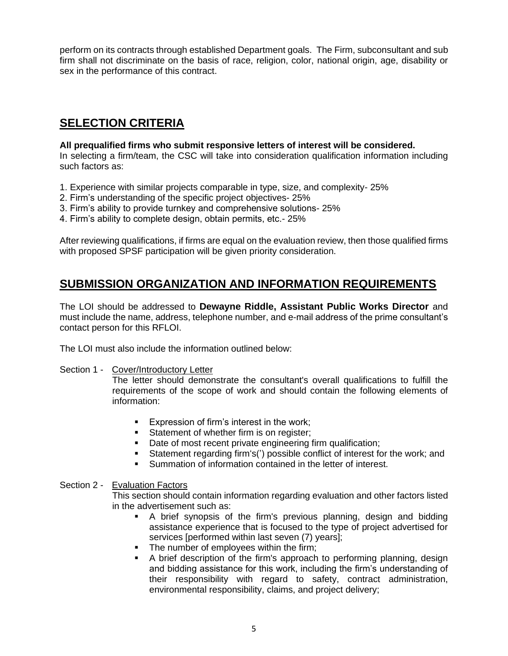perform on its contracts through established Department goals. The Firm, subconsultant and sub firm shall not discriminate on the basis of race, religion, color, national origin, age, disability or sex in the performance of this contract.

## **SELECTION CRITERIA**

#### **All prequalified firms who submit responsive letters of interest will be considered.**

In selecting a firm/team, the CSC will take into consideration qualification information including such factors as:

- 1. Experience with similar projects comparable in type, size, and complexity- 25%
- 2. Firm's understanding of the specific project objectives- 25%
- 3. Firm's ability to provide turnkey and comprehensive solutions- 25%
- 4. Firm's ability to complete design, obtain permits, etc.- 25%

After reviewing qualifications, if firms are equal on the evaluation review, then those qualified firms with proposed SPSF participation will be given priority consideration.

### **SUBMISSION ORGANIZATION AND INFORMATION REQUIREMENTS**

The LOI should be addressed to **Dewayne Riddle, Assistant Public Works Director** and must include the name, address, telephone number, and e-mail address of the prime consultant's contact person for this RFLOI.

The LOI must also include the information outlined below:

Section 1 - Cover/Introductory Letter

The letter should demonstrate the consultant's overall qualifications to fulfill the requirements of the scope of work and should contain the following elements of information:

- Expression of firm's interest in the work;
- **EXECUTE:** Statement of whether firm is on register;
- Date of most recent private engineering firm qualification;
- Statement regarding firm's(') possible conflict of interest for the work; and
- Summation of information contained in the letter of interest.

#### Section 2 - Evaluation Factors

This section should contain information regarding evaluation and other factors listed in the advertisement such as:

- A brief synopsis of the firm's previous planning, design and bidding assistance experience that is focused to the type of project advertised for services [performed within last seven (7) years];
- The number of employees within the firm:
- **•** A brief description of the firm's approach to performing planning, design and bidding assistance for this work, including the firm's understanding of their responsibility with regard to safety, contract administration, environmental responsibility, claims, and project delivery;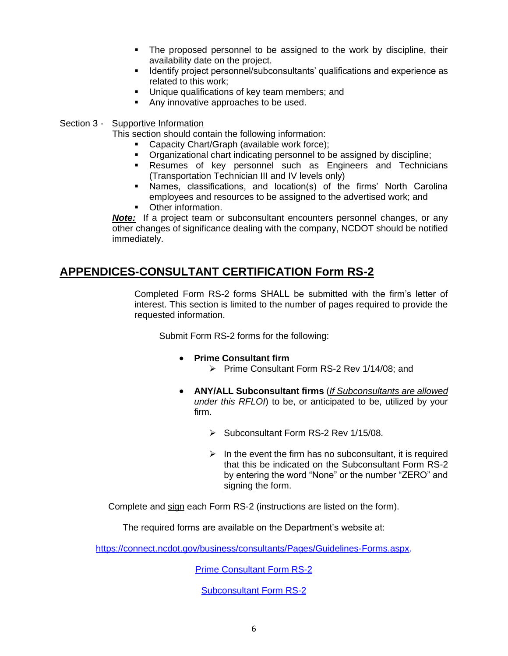- The proposed personnel to be assigned to the work by discipline, their availability date on the project.
- **■** Identify project personnel/subconsultants' qualifications and experience as related to this work;
- Unique qualifications of key team members; and
- Any innovative approaches to be used.
- Section 3 Supportive Information
	- This section should contain the following information:
		- Capacity Chart/Graph (available work force);
		- Organizational chart indicating personnel to be assigned by discipline;
		- **EXECUTE:** Resumes of key personnel such as Engineers and Technicians (Transportation Technician III and IV levels only)
		- Names, classifications, and location(s) of the firms' North Carolina employees and resources to be assigned to the advertised work; and
		- Other information.

*Note:* If a project team or subconsultant encounters personnel changes, or any other changes of significance dealing with the company, NCDOT should be notified immediately.

### **APPENDICES-CONSULTANT CERTIFICATION Form RS-2**

Completed Form RS-2 forms SHALL be submitted with the firm's letter of interest. This section is limited to the number of pages required to provide the requested information.

Submit Form RS-2 forms for the following:

- **Prime Consultant firm**
	- ➢ Prime Consultant Form RS-2 Rev 1/14/08; and
- **ANY/ALL Subconsultant firms** (*If Subconsultants are allowed under this RFLOI*) to be, or anticipated to be, utilized by your firm.
	- ➢ Subconsultant Form RS-2 Rev 1/15/08.
	- $\triangleright$  In the event the firm has no subconsultant, it is required that this be indicated on the Subconsultant Form RS-2 by entering the word "None" or the number "ZERO" and signing the form.

Complete and sign each Form RS-2 (instructions are listed on the form).

The required forms are available on the Department's website at:

https://connect.ncdot.gov/business/consultants/Pages/Guidelines-Forms.aspx.

[Prime Consultant Form RS-2](http://www.ncdot.org/doh/forms/files/PrimeFormRS2.doc)

[Subconsultant Form RS-2](http://www.ncdot.org/doh/forms/files/SubconsultantFormRS2.doc)